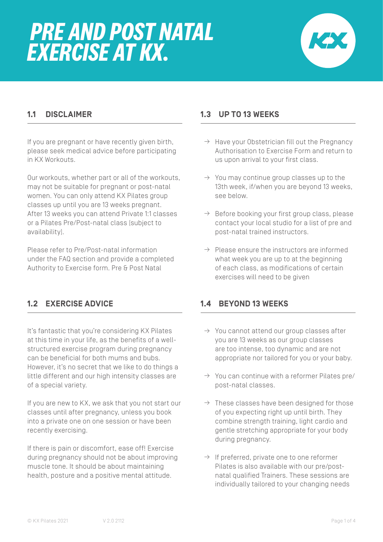

## **1.1 DISCLAIMER**

If you are pregnant or have recently given birth, please seek medical advice before participating in KX Workouts.

Our workouts, whether part or all of the workouts, may not be suitable for pregnant or post-natal women. You can only attend KX Pilates group classes up until you are 13 weeks pregnant. After 13 weeks you can attend Private 1:1 classes or a Pilates Pre/Post-natal class (subject to availability).

Please refer to Pre/Post-natal information under the FAQ section and provide a completed Authority to Exercise form. Pre & Post Natal

# **1.2 EXERCISE ADVICE**

It's fantastic that you're considering KX Pilates at this time in your life, as the benefits of a wellstructured exercise program during pregnancy can be beneficial for both mums and bubs. However, it's no secret that we like to do things a little different and our high intensity classes are of a special variety.

If you are new to KX, we ask that you not start our classes until after pregnancy, unless you book into a private one on one session or have been recently exercising.

If there is pain or discomfort, ease off! Exercise during pregnancy should not be about improving muscle tone. It should be about maintaining health, posture and a positive mental attitude.

### **1.3 UP TO 13 WEEKS**

- $\rightarrow$  Have your Obstetrician fill out the Pregnancy Authorisation to Exercise Form and return to us upon arrival to your first class.
- $\rightarrow$  You may continue group classes up to the 13th week, if/when you are beyond 13 weeks, see below.
- $\rightarrow$  Before booking your first group class, please contact your local studio for a list of pre and post-natal trained instructors.
- $\rightarrow$  Please ensure the instructors are informed what week you are up to at the beginning of each class, as modifications of certain exercises will need to be given

### **1.4 BEYOND 13 WEEKS**

- $\rightarrow$  You cannot attend our group classes after you are 13 weeks as our group classes are too intense, too dynamic and are not appropriate nor tailored for you or your baby.
- $\rightarrow$  You can continue with a reformer Pilates pre/ post-natal classes.
- $\rightarrow$  These classes have been designed for those of you expecting right up until birth. They combine strength training, light cardio and gentle stretching appropriate for your body during pregnancy.
- $\rightarrow$  If preferred, private one to one reformer Pilates is also available with our pre/postnatal qualified Trainers. These sessions are individually tailored to your changing needs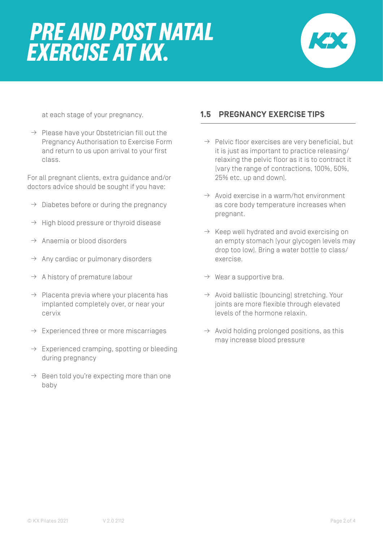

at each stage of your pregnancy.

 $\rightarrow$  Please have your Obstetrician fill out the Pregnancy Authorisation to Exercise Form and return to us upon arrival to your first class.

For all pregnant clients, extra guidance and/or doctors advice should be sought if you have:

- $\rightarrow$  Diabetes before or during the pregnancy
- $\rightarrow$  High blood pressure or thyroid disease
- $\rightarrow$  Anaemia or blood disorders
- $\rightarrow$  Any cardiac or pulmonary disorders
- $\rightarrow$  A history of premature labour
- $\rightarrow$  Placenta previa where your placenta has implanted completely over, or near your cervix
- $\rightarrow$  Experienced three or more miscarriages
- $\rightarrow$  Experienced cramping, spotting or bleeding during pregnancy
- $\rightarrow$  Been told you're expecting more than one baby

#### **1.5 PREGNANCY EXERCISE TIPS**

- $\rightarrow$  Pelvic floor exercises are very beneficial, but it is just as important to practice releasing/ relaxing the pelvic floor as it is to contract it (vary the range of contractions, 100%, 50%, 25% etc. up and down).
- $\rightarrow$  Avoid exercise in a warm/hot environment as core body temperature increases when pregnant.
- $\rightarrow$  Keep well hydrated and avoid exercising on an empty stomach (your glycogen levels may drop too low). Bring a water bottle to class/ exercise.
- $\rightarrow$  Wear a supportive bra.
- $\rightarrow$  Avoid ballistic (bouncing) stretching. Your joints are more flexible through elevated levels of the hormone relaxin.
- $\rightarrow$  Avoid holding prolonged positions, as this may increase blood pressure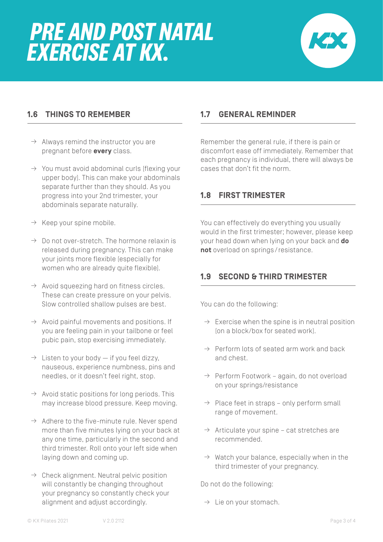

### **1.6 THINGS TO REMEMBER**

- $\rightarrow$  Always remind the instructor you are pregnant before **every** class.
- $\rightarrow$  You must avoid abdominal curls [flexing your upper body). This can make your abdominals separate further than they should. As you progress into your 2nd trimester, your abdominals separate naturally.
- $\rightarrow$  Keep your spine mobile.
- $\rightarrow$  Do not over-stretch. The hormone relaxin is released during pregnancy. This can make your joints more flexible (especially for women who are already quite flexible).
- $\rightarrow$  Avoid squeezing hard on fitness circles. These can create pressure on your pelvis. Slow controlled shallow pulses are best.
- $\rightarrow$  Avoid painful movements and positions. If you are feeling pain in your tailbone or feel pubic pain, stop exercising immediately.
- $\rightarrow$  Listen to your body  $-$  if you feel dizzy, nauseous, experience numbness, pins and needles, or it doesn't feel right, stop.
- $\rightarrow$  Avoid static positions for long periods. This may increase blood pressure. Keep moving.
- $\rightarrow$  Adhere to the five-minute rule. Never spend more than five minutes lying on your back at any one time, particularly in the second and third trimester. Roll onto your left side when laying down and coming up.
- $\rightarrow$  Check alignment. Neutral pelvic position will constantly be changing throughout your pregnancy so constantly check your alignment and adjust accordingly.

#### **1.7 GENERAL REMINDER**

Remember the general rule, if there is pain or discomfort ease off immediately. Remember that each pregnancy is individual, there will always be cases that don't fit the norm.

#### **1.8 FIRST TRIMESTER**

You can effectively do everything you usually would in the first trimester; however, please keep your head down when lying on your back and **do not** overload on springs/resistance.

### **1.9 SECOND & THIRD TRIMESTER**

You can do the following:

- $\rightarrow$  Exercise when the spine is in neutral position (on a block/box for seated work).
- $\rightarrow$  Perform lots of seated arm work and back and chest.
- $\rightarrow$  Perform Footwork again, do not overload on your springs/resistance
- $\rightarrow$  Place feet in straps only perform small range of movement.
- $\rightarrow$  Articulate your spine cat stretches are recommended.
- $\rightarrow$  Watch your balance, especially when in the third trimester of your pregnancy.

Do not do the following:

 $\rightarrow$  Lie on your stomach.